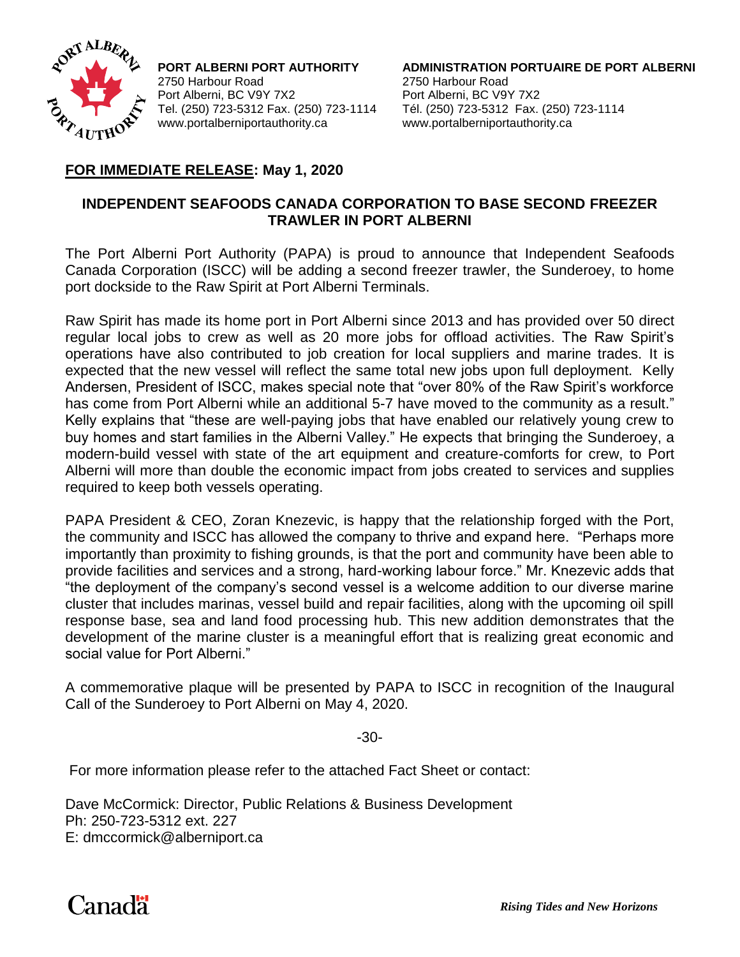

2750 Harbour Road 2750 Harbour Road Port Alberni, BC V9Y 7X2 Port Alberni, BC V9Y 7X2 www.portalberniportauthority.ca www.portalberniportauthority.ca

**PORT ALBERNI PORT AUTHORITY ADMINISTRATION PORTUAIRE DE PORT ALBERNI** Tel. (250) 723-5312 Fax. (250) 723-1114 Tél. (250) 723-5312 Fax. (250) 723-1114

## **FOR IMMEDIATE RELEASE: May 1, 2020**

## **INDEPENDENT SEAFOODS CANADA CORPORATION TO BASE SECOND FREEZER TRAWLER IN PORT ALBERNI**

The Port Alberni Port Authority (PAPA) is proud to announce that Independent Seafoods Canada Corporation (ISCC) will be adding a second freezer trawler, the Sunderoey, to home port dockside to the Raw Spirit at Port Alberni Terminals.

Raw Spirit has made its home port in Port Alberni since 2013 and has provided over 50 direct regular local jobs to crew as well as 20 more jobs for offload activities. The Raw Spirit's operations have also contributed to job creation for local suppliers and marine trades. It is expected that the new vessel will reflect the same total new jobs upon full deployment. Kelly Andersen, President of ISCC, makes special note that "over 80% of the Raw Spirit's workforce has come from Port Alberni while an additional 5-7 have moved to the community as a result." Kelly explains that "these are well-paying jobs that have enabled our relatively young crew to buy homes and start families in the Alberni Valley." He expects that bringing the Sunderoey, a modern-build vessel with state of the art equipment and creature-comforts for crew, to Port Alberni will more than double the economic impact from jobs created to services and supplies required to keep both vessels operating.

PAPA President & CEO, Zoran Knezevic, is happy that the relationship forged with the Port, the community and ISCC has allowed the company to thrive and expand here. "Perhaps more importantly than proximity to fishing grounds, is that the port and community have been able to provide facilities and services and a strong, hard-working labour force." Mr. Knezevic adds that "the deployment of the company's second vessel is a welcome addition to our diverse marine cluster that includes marinas, vessel build and repair facilities, along with the upcoming oil spill response base, sea and land food processing hub. This new addition demonstrates that the development of the marine cluster is a meaningful effort that is realizing great economic and social value for Port Alberni."

A commemorative plaque will be presented by PAPA to ISCC in recognition of the Inaugural Call of the Sunderoey to Port Alberni on May 4, 2020.

-30-

For more information please refer to the attached Fact Sheet or contact:

Dave McCormick: Director, Public Relations & Business Development Ph: 250-723-5312 ext. 227 E: [dmccormick@alberniport.ca](mailto:dmccormick@alberniport.ca)

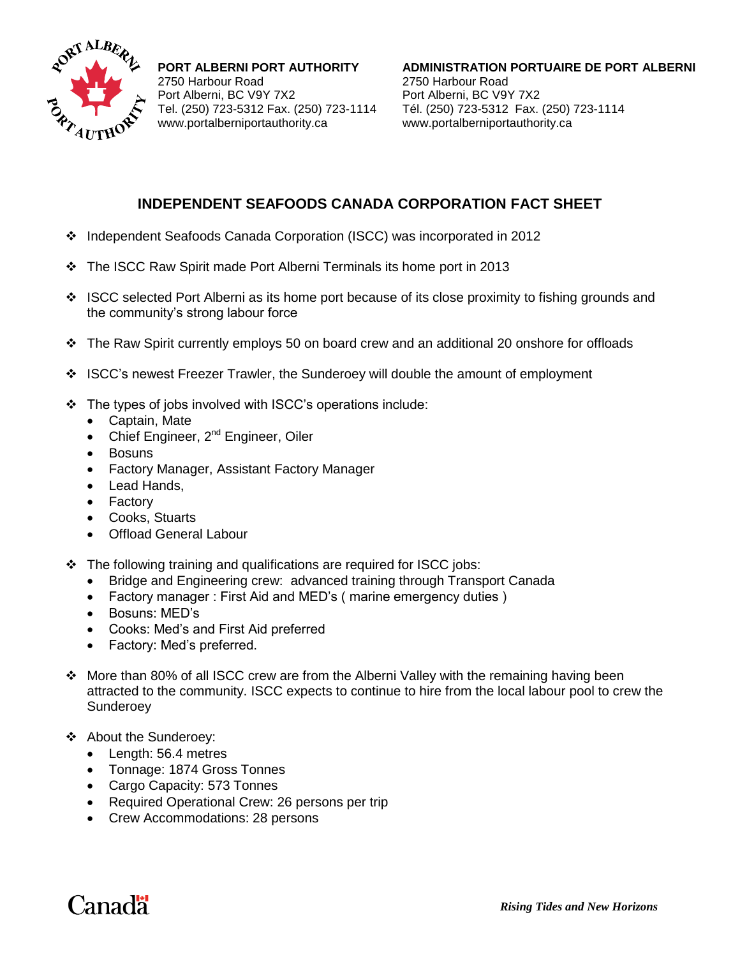

2750 Harbour Road 2750 Harbour Road Port Alberni, BC V9Y 7X2 Port Alberni, BC V9Y 7X2 www.portalberniportauthority.ca www.portalberniportauthority.ca

**PORT ALBERNI PORT AUTHORITY ADMINISTRATION PORTUAIRE DE PORT ALBERNI** Tel. (250) 723-5312 Fax. (250) 723-1114 Tél. (250) 723-5312 Fax. (250) 723-1114

## **INDEPENDENT SEAFOODS CANADA CORPORATION FACT SHEET**

- Independent Seafoods Canada Corporation (ISCC) was incorporated in 2012
- $\div$  The ISCC Raw Spirit made Port Alberni Terminals its home port in 2013
- $\div$  ISCC selected Port Alberni as its home port because of its close proximity to fishing grounds and the community's strong labour force
- $\div$  The Raw Spirit currently employs 50 on board crew and an additional 20 onshore for offloads
- ISCC's newest Freezer Trawler, the Sunderoey will double the amount of employment
- The types of jobs involved with ISCC's operations include:
	- Captain, Mate
	- Chief Engineer, 2<sup>nd</sup> Engineer, Oiler
	- Bosuns
	- Factory Manager, Assistant Factory Manager
	- Lead Hands,
	- Factory
	- Cooks, Stuarts
	- Offload General Labour
- $\cdot \cdot$  The following training and qualifications are required for ISCC jobs:
	- Bridge and Engineering crew: advanced training through Transport Canada
	- Factory manager : First Aid and MED's ( marine emergency duties )
	- Bosuns: MED's
	- Cooks: Med's and First Aid preferred
	- Factory: Med's preferred.
- More than 80% of all ISCC crew are from the Alberni Valley with the remaining having been attracted to the community. ISCC expects to continue to hire from the local labour pool to crew the Sunderoey
- About the Sunderoey:
	- Length: 56.4 metres
	- Tonnage: 1874 Gross Tonnes
	- Cargo Capacity: 573 Tonnes
	- Required Operational Crew: 26 persons per trip
	- Crew Accommodations: 28 persons